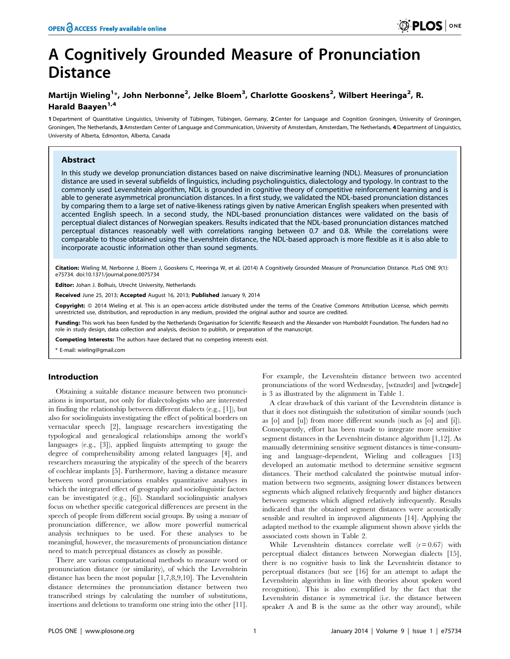# A Cognitively Grounded Measure of Pronunciation **Distance**

## Martijn Wieling<sup>1\*</sup>, John Nerbonne<sup>2</sup>, Jelke Bloem<sup>3</sup>, Charlotte Gooskens<sup>2</sup>, Wilbert Heeringa<sup>2</sup>, R. Harald Baayen $1,4$

1 Department of Quantitative Linguistics, University of Tübingen, Tübingen, Germany, 2 Center for Language and Cognition Groningen, University of Groningen, Groningen, The Netherlands, 3 Amsterdam Center of Language and Communication, University of Amsterdam, Amsterdam, The Netherlands, 4Department of Linguistics, University of Alberta, Edmonton, Alberta, Canada

## Abstract

In this study we develop pronunciation distances based on naive discriminative learning (NDL). Measures of pronunciation distance are used in several subfields of linguistics, including psycholinguistics, dialectology and typology. In contrast to the commonly used Levenshtein algorithm, NDL is grounded in cognitive theory of competitive reinforcement learning and is able to generate asymmetrical pronunciation distances. In a first study, we validated the NDL-based pronunciation distances by comparing them to a large set of native-likeness ratings given by native American English speakers when presented with accented English speech. In a second study, the NDL-based pronunciation distances were validated on the basis of perceptual dialect distances of Norwegian speakers. Results indicated that the NDL-based pronunciation distances matched perceptual distances reasonably well with correlations ranging between 0.7 and 0.8. While the correlations were comparable to those obtained using the Levenshtein distance, the NDL-based approach is more flexible as it is also able to incorporate acoustic information other than sound segments.

Citation: Wieling M, Nerbonne J, Bloem J, Gooskens C, Heeringa W, et al. (2014) A Cognitively Grounded Measure of Pronunciation Distance. PLoS ONE 9(1): e75734. doi:10.1371/journal.pone.0075734

Editor: Johan J. Bolhuis, Utrecht University, Netherlands

Received June 25, 2013; Accepted August 16, 2013; Published January 9, 2014

Copyright: © 2014 Wieling et al. This is an open-access article distributed under the terms of the Creative Commons Attribution License, which permits unrestricted use, distribution, and reproduction in any medium, provided the original author and source are credited.

Funding: This work has been funded by the Netherlands Organisation for Scientific Research and the Alexander von Humboldt Foundation. The funders had no role in study design, data collection and analysis, decision to publish, or preparation of the manuscript.

Competing Interests: The authors have declared that no competing interests exist.

\* E-mail: wieling@gmail.com

## Introduction

Obtaining a suitable distance measure between two pronunciations is important, not only for dialectologists who are interested in finding the relationship between different dialects (e.g., [1]), but also for sociolinguists investigating the effect of political borders on vernacular speech [2], language researchers investigating the typological and genealogical relationships among the world's languages (e.g., [3]), applied linguists attempting to gauge the degree of comprehensibility among related languages [4], and researchers measuring the atypicality of the speech of the bearers of cochlear implants [5]. Furthermore, having a distance measure between word pronunciations enables quantitative analyses in which the integrated effect of geography and sociolinguistic factors can be investigated (e.g., [6]). Standard sociolinguistic analyses focus on whether specific categorical differences are present in the speech of people from different social groups. By using a measure of pronunciation difference, we allow more powerful numerical analysis techniques to be used. For these analyses to be meaningful, however, the measurements of pronunciation distance need to match perceptual distances as closely as possible.

There are various computational methods to measure word or pronunciation distance (or similarity), of which the Levenshtein distance has been the most popular [1,7,8,9,10]. The Levenshtein distance determines the pronunciation distance between two transcribed strings by calculating the number of substitutions, insertions and deletions to transform one string into the other [11].

For example, the Levenshtein distance between two accented pronunciations of the word Wednesday, [wɛnzdeɪ] and [wɛnasde] is 3 as illustrated by the alignment in Table 1.

A clear drawback of this variant of the Levenshtein distance is that it does not distinguish the substitution of similar sounds (such as [o] and [u]) from more different sounds (such as [o] and [i]). Consequently, effort has been made to integrate more sensitive segment distances in the Levenshtein distance algorithm [1,12]. As manually determining sensitive segment distances is time-consuming and language-dependent, Wieling and colleagues [13] developed an automatic method to determine sensitive segment distances. Their method calculated the pointwise mutual information between two segments, assigning lower distances between segments which aligned relatively frequently and higher distances between segments which aligned relatively infrequently. Results indicated that the obtained segment distances were acoustically sensible and resulted in improved alignments [14]. Applying the adapted method to the example alignment shown above yields the associated costs shown in Table 2.

While Levenshtein distances correlate well  $(r=0.67)$  with perceptual dialect distances between Norwegian dialects [15], there is no cognitive basis to link the Levenshtein distance to perceptual distances (but see [16] for an attempt to adapt the Levenshtein algorithm in line with theories about spoken word recognition). This is also exemplified by the fact that the Levenshtein distance is symmetrical (i.e. the distance between speaker A and B is the same as the other way around), while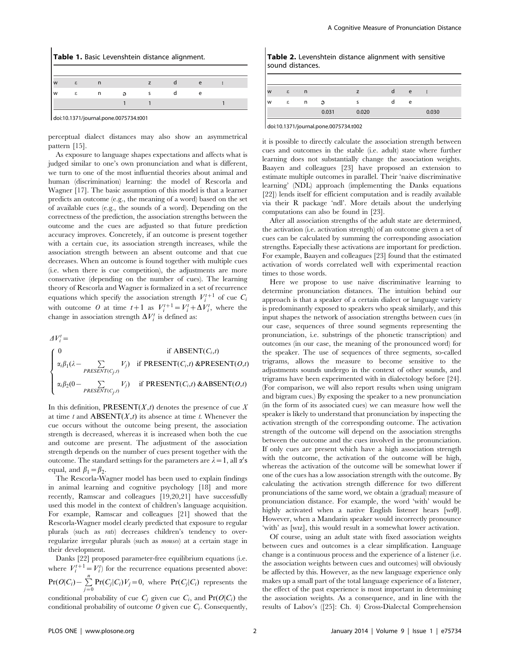| <b>Table 1.</b> Basic Levenshtein distance alignment. |    |   |                                       |  |   |   |  |  |
|-------------------------------------------------------|----|---|---------------------------------------|--|---|---|--|--|
|                                                       |    |   |                                       |  |   |   |  |  |
| W                                                     | ε. | n |                                       |  |   | e |  |  |
| W                                                     | ε. | n | Э                                     |  | d | e |  |  |
|                                                       |    |   |                                       |  |   |   |  |  |
|                                                       |    |   | doi:10.1371/journal.pone.0075734.t001 |  |   |   |  |  |

perceptual dialect distances may also show an asymmetrical pattern [15].

As exposure to language shapes expectations and affects what is judged similar to one's own pronunciation and what is different, we turn to one of the most influential theories about animal and human (discrimination) learning: the model of Rescorla and Wagner [17]. The basic assumption of this model is that a learner predicts an outcome (e.g., the meaning of a word) based on the set of available cues (e.g., the sounds of a word). Depending on the correctness of the prediction, the association strengths between the outcome and the cues are adjusted so that future prediction accuracy improves. Concretely, if an outcome is present together with a certain cue, its association strength increases, while the association strength between an absent outcome and that cue decreases. When an outcome is found together with multiple cues (i.e. when there is cue competition), the adjustments are more conservative (depending on the number of cues). The learning theory of Rescorla and Wagner is formalized in a set of recurrence equations which specify the association strength  $V_i^{t+1}$  of cue  $C_i$ with outcome O at time  $t+1$  as  $V_i^{t+1} = V_i^t + \Delta V_i^t$ , where the change in association strength  $\Delta V_i^t$  is defined as:

$$
\Delta V_i^t = \n\begin{cases}\n0 & \text{if ABSENT}(C_i, t) \\
\alpha_i \beta_1(\lambda - \sum_{PRESENT(C_j, t)} V_j) & \text{if PRESENT}(C_i, t) & \text{RPRESENT}(O, t) \\
\alpha_i \beta_2(0 - \sum_{PRESENT(C_j, t)} V_j) & \text{if PRESENT}(C_i, t) & \text{RABSENT}(O, t)\n\end{cases}
$$

In this definition,  $PRESENT(X,t)$  denotes the presence of cue X at time t and  $ABSENT(X,t)$  its absence at time t. Whenever the cue occurs without the outcome being present, the association strength is decreased, whereas it is increased when both the cue and outcome are present. The adjustment of the association strength depends on the number of cues present together with the outcome. The standard settings for the parameters are  $\lambda = 1$ , all  $\alpha'$ s equal, and  $\beta_1 = \beta_2$ .

The Rescorla-Wagner model has been used to explain findings in animal learning and cognitive psychology [18] and more recently, Ramscar and colleagues [19,20,21] have successfully used this model in the context of children's language acquisition. For example, Ramscar and colleagues [21] showed that the Rescorla-Wagner model clearly predicted that exposure to regular plurals (such as rats) decreases children's tendency to overregularize irregular plurals (such as mouses) at a certain stage in their development.

Danks [22] proposed parameter-free equilibrium equations (i.e. where  $V_i^{t+1} = V_i^t$  for the recurrence equations presented above:  $\Pr(O|C_i) - \sum_{j=0}^{n} \Pr(C_j|C_i)V_j = 0$ , where  $\Pr(C_j|C_i)$  represents the conditional probability of cue  $C_j$  given cue  $C_i$ , and  $Pr(O|C_i)$  the conditional probability of outcome  $O$  given cue  $C_i$ . Consequently,

| Table 2. Levenshtein distance alignment with sensitive |  |  |
|--------------------------------------------------------|--|--|
| sound distances.                                       |  |  |

| W | $\epsilon$ | n |          | $\overline{z}$ | d | e |       |
|---|------------|---|----------|----------------|---|---|-------|
| w | ε          | n | $\Theta$ | s              | d | e |       |
|   |            |   | 0.031    | 0.020          |   |   | 0.030 |

doi:10.1371/journal.pone.0075734.t002

it is possible to directly calculate the association strength between cues and outcomes in the stable (i.e. adult) state where further learning does not substantially change the association weights. Baayen and colleagues [23] have proposed an extension to estimate multiple outcomes in parallel. Their 'naive discriminative learning' (NDL) approach (implementing the Danks equations [22]) lends itself for efficient computation and is readily available via their R package 'ndl'. More details about the underlying computations can also be found in [23].

After all association strengths of the adult state are determined, the activation (i.e. activation strength) of an outcome given a set of cues can be calculated by summing the corresponding association strengths. Especially these activations are important for prediction. For example, Baayen and colleagues [23] found that the estimated activation of words correlated well with experimental reaction times to those words.

Here we propose to use naive discriminative learning to determine pronunciation distances. The intuition behind our approach is that a speaker of a certain dialect or language variety is predominantly exposed to speakers who speak similarly, and this input shapes the network of association strengths between cues (in our case, sequences of three sound segments representing the pronunciation, i.e. substrings of the phonetic transcription) and outcomes (in our case, the meaning of the pronounced word) for the speaker. The use of sequences of three segments, so-called trigrams, allows the measure to become sensitive to the adjustments sounds undergo in the context of other sounds, and trigrams have been experimented with in dialectology before [24]. (For comparison, we will also report results when using unigram and bigram cues.) By exposing the speaker to a new pronunciation (in the form of its associated cues) we can measure how well the speaker is likely to understand that pronunciation by inspecting the activation strength of the corresponding outcome. The activation strength of the outcome will depend on the association strengths between the outcome and the cues involved in the pronunciation. If only cues are present which have a high association strength with the outcome, the activation of the outcome will be high, whereas the activation of the outcome will be somewhat lower if one of the cues has a low association strength with the outcome. By calculating the activation strength difference for two different pronunciations of the same word, we obtain a (gradual) measure of pronunciation distance. For example, the word 'with' would be highly activated when a native English listener hears  $[w_0\theta]$ . However, when a Mandarin speaker would incorrectly pronounce 'with' as [wız], this would result in a somewhat lower activation.

Of course, using an adult state with fixed association weights between cues and outcomes is a clear simplification. Language change is a continuous process and the experience of a listener (i.e. the association weights between cues and outcomes) will obviously be affected by this. However, as the new language experience only makes up a small part of the total language experience of a listener, the effect of the past experience is most important in determining the association weights. As a consequence, and in line with the results of Labov's ([25]: Ch. 4) Cross-Dialectal Comprehension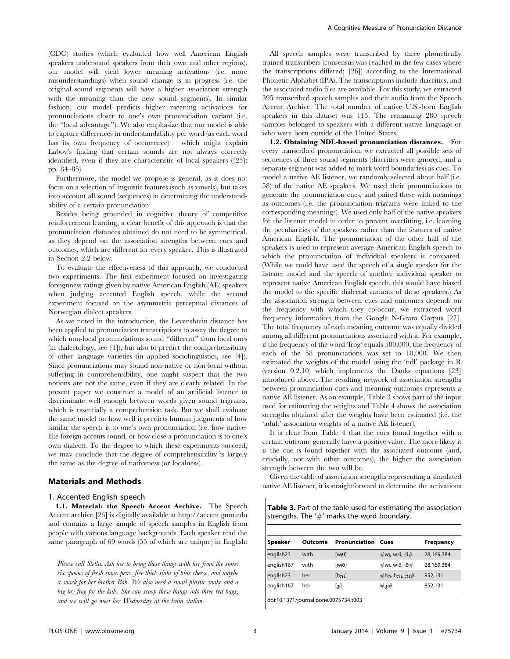(CDC) studies (which evaluated how well American English speakers understand speakers from their own and other regions), our model will yield lower meaning activations (i.e. more misunderstandings) when sound change is in progress (i.e. the original sound segments will have a higher association strength with the meaning than the new sound segments). In similar fashion, our model predicts higher meaning activations for pronunciations closer to one's own pronunciation variant (i.e. the ''local advantage''). We also emphasize that our model is able to capture differences in understandability per word (as each word has its own frequency of occurrence) – which might explain Labov's finding that certain sounds are not always correctly identified, even if they are characteristic of local speakers ([25]: pp. 84–85).

Furthermore, the model we propose is general, as it does not focus on a selection of linguistic features (such as vowels), but takes into account all sound (sequences) in determining the understandability of a certain pronunciation.

Besides being grounded in cognitive theory of competitive reinforcement learning, a clear benefit of this approach is that the pronunciation distances obtained do not need to be symmetrical, as they depend on the association strengths between cues and outcomes, which are different for every speaker. This is illustrated in Section 2.2 below.

To evaluate the effectiveness of this approach, we conducted two experiments. The first experiment focused on investigating foreignness ratings given by native American English (AE) speakers when judging accented English speech, while the second experiment focused on the asymmetric perceptual distances of Norwegian dialect speakers.

As we noted in the introduction, the Levenshtein distance has been applied to pronunciation transcriptions to assay the degree to which non-local pronunciations sound ''different'' from local ones (in dialectology, see [1]), but also to predict the comprehensibility of other language varieties (in applied sociolinguistics, see [4]). Since pronunciations may sound non-native or non-local without suffering in comprehensibility, one might suspect that the two notions are not the same, even if they are clearly related. In the present paper we construct a model of an artificial listener to discriminate well enough between words given sound trigrams, which is essentially a comprehension task. But we shall evaluate the same model on how well it predicts human judgments of how similar the speech is to one's own pronunciation (i.e. how nativelike foreign accents sound, or how close a pronunciation is to one's own dialect). To the degree to which these experiments succeed, we may conclude that the degree of comprehensibility is largely the same as the degree of nativeness (or localness).

## Materials and Methods

#### 1. Accented English speech

1.1. Material: the Speech Accent Archive. The Speech Accent archive [26] is digitally available at http://accent.gmu.edu and contains a large sample of speech samples in English from people with various language backgrounds. Each speaker read the same paragraph of 69 words (55 of which are unique) in English:

Please call Stella. Ask her to bring these things with her from the store: six spoons of fresh snow peas, five thick slabs of blue cheese, and maybe a snack for her brother Bob. We also need a small plastic snake and a big toy frog for the kids. She can scoop these things into three red bags, and we will go meet her Wednesday at the train station.

All speech samples were transcribed by three phonetically trained transcribers (consensus was reached in the few cases where the transcriptions differed; [26]) according to the International Phonetic Alphabet (IPA). The transcriptions include diacritics, and the associated audio files are available. For this study, we extracted 395 transcribed speech samples and their audio from the Speech Accent Archive. The total number of native U.S.-born English speakers in this dataset was 115. The remaining 280 speech samples belonged to speakers with a different native language or who were born outside of the United States.

1.2. Obtaining NDL-based pronunciation distances. For every transcribed pronunciation, we extracted all possible sets of sequences of three sound segments (diacritics were ignored, and a separate segment was added to mark word boundaries) as cues. To model a native AE listener, we randomly selected about half (i.e. 58) of the native AE speakers. We used their pronunciations to generate the pronunciation cues, and paired these with meanings as outcomes (i.e. the pronunciation trigrams were linked to the corresponding meanings). We used only half of the native speakers for the listener model in order to prevent overfitting, i.e. learning the peculiarities of the speakers rather than the features of native American English. The pronunciation of the other half of the speakers is used to represent average American English speech to which the pronunciation of individual speakers is compared. (While we could have used the speech of a single speaker for the listener model and the speech of another individual speaker to represent native American English speech, this would have biased the model to the specific dialectal variants of these speakers.) As the association strength between cues and outcomes depends on the frequency with which they co-occur, we extracted word frequency information from the Google N-Gram Corpus [27]. The total frequency of each meaning outcome was equally divided among all different pronunciations associated with it. For example, if the frequency of the word 'frog' equals 580,000, the frequency of each of the 58 pronunciations was set to 10,000. We then estimated the weights of the model using the 'ndl' package in R (version 0.2.10) which implements the Danks equations [23] introduced above. The resulting network of association strengths between pronunciation cues and meaning outcomes represents a native AE listener. As an example, Table 3 shows part of the input used for estimating the weights and Table 4 shows the association strengths obtained after the weights have been estimated (i.e. the 'adult' association weights of a native AE listener).

It is clear from Table 4 that the cues found together with a certain outcome generally have a positive value. The more likely it is the cue is found together with the associated outcome (and, crucially, not with other outcomes), the higher the association strength between the two will be.

Given the table of association strengths representing a simulated native AE listener, it is straightforward to determine the activations

Table 3. Part of the table used for estimating the association strengths. The  $'#'$  marks the word boundary.

| Speaker               | Outcome | Pronunciation | Cues                                | <b>Frequency</b> |
|-----------------------|---------|---------------|-------------------------------------|------------------|
| english <sub>23</sub> | with    | $I$ [wie]     | $\#$ wi, wi $\theta$ , i $\theta\#$ | 28,169,384       |
| english167            | with    | [wið]         | $\#$ wi, wið, ið $\#$               | 28,169,384       |
| english <sub>23</sub> | her     | [ha]          | $#$ hə, hə $\mu$ ə $\mu$ #          | 852,131          |
| english167            | her     | lə l          | #ə#                                 | 852,131          |

doi:10.1371/journal.pone.0075734.t003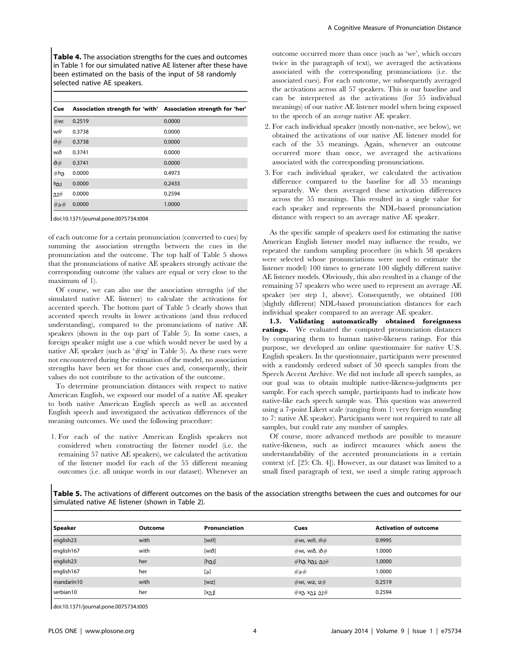Table 4. The association strengths for the cues and outcomes in Table 1 for our simulated native AE listener after these have been estimated on the basis of the input of 58 randomly selected native AE speakers.

| Cue              | Association strength for 'with' Association strength for 'her' |        |
|------------------|----------------------------------------------------------------|--------|
| #wi              | 0.2519                                                         | 0.0000 |
| $wI\theta$       | 0.3738                                                         | 0.0000 |
| I $\theta$ #     | 0.3738                                                         | 0.0000 |
| wið              | 0.3741                                                         | 0.0000 |
| $I\eth\#$        | 0.3741                                                         | 0.0000 |
| $#h$ ə           | 0.0000                                                         | 0.4973 |
| har              | 0.0000                                                         | 0.2433 |
| $\mathfrak{a}$ # | 0.0000                                                         | 0.2594 |
|                  | 0.0000                                                         | 1.0000 |
|                  |                                                                |        |

doi:10.1371/journal.pone.0075734.t004

of each outcome for a certain pronunciation (converted to cues) by summing the association strengths between the cues in the pronunciation and the outcome. The top half of Table 5 shows that the pronunciations of native AE speakers strongly activate the corresponding outcome (the values are equal or very close to the maximum of 1).

Of course, we can also use the association strengths (of the simulated native AE listener) to calculate the activations for accented speech. The bottom part of Table 5 clearly shows that accented speech results in lower activations (and thus reduced understanding), compared to the pronunciations of native AE speakers (shown in the top part of Table 5). In some cases, a foreign speaker might use a cue which would never be used by a native AE speaker (such as  $#x_2$  in Table 5). As these cues were not encountered during the estimation of the model, no association strengths have been set for those cues and, consequently, their values do not contribute to the activation of the outcome.

To determine pronunciation distances with respect to native American English, we exposed our model of a native AE speaker to both native American English speech as well as accented English speech and investigated the activation differences of the meaning outcomes. We used the following procedure:

1. For each of the native American English speakers not considered when constructing the listener model (i.e. the remaining 57 native AE speakers), we calculated the activation of the listener model for each of the 55 different meaning outcomes (i.e. all unique words in our dataset). Whenever an outcome occurred more than once (such as 'we', which occurs twice in the paragraph of text), we averaged the activations associated with the corresponding pronunciations (i.e. the associated cues). For each outcome, we subsequently averaged the activations across all 57 speakers. This is our baseline and can be interpreted as the activations (for 55 individual meanings) of our native AE listener model when being exposed to the speech of an average native AE speaker.

- 2. For each individual speaker (mostly non-native, see below), we obtained the activations of our native AE listener model for each of the 55 meanings. Again, whenever an outcome occurred more than once, we averaged the activations associated with the corresponding pronunciations.
- 3. For each individual speaker, we calculated the activation difference compared to the baseline for all 55 meanings separately. We then averaged these activation differences across the 55 meanings. This resulted in a single value for each speaker and represents the NDL-based pronunciation distance with respect to an average native AE speaker.

As the specific sample of speakers used for estimating the native American English listener model may influence the results, we repeated the random sampling procedure (in which 58 speakers were selected whose pronunciations were used to estimate the listener model) 100 times to generate 100 slightly different native AE listener models. Obviously, this also resulted in a change of the remaining 57 speakers who were used to represent an average AE speaker (see step 1, above). Consequently, we obtained 100 (slightly different) NDL-based pronunciation distances for each individual speaker compared to an average AE speaker.

1.3. Validating automatically obtained foreignness ratings. We evaluated the computed pronunciation distances by comparing them to human native-likeness ratings. For this purpose, we developed an online questionnaire for native U.S. English speakers. In the questionnaire, participants were presented with a randomly ordered subset of 50 speech samples from the Speech Accent Archive. We did not include all speech samples, as our goal was to obtain multiple native-likeness-judgments per sample. For each speech sample, participants had to indicate how native-like each speech sample was. This question was answered using a 7-point Likert scale (ranging from 1: very foreign sounding to 7: native AE speaker). Participants were not required to rate all samples, but could rate any number of samples.

Of course, more advanced methods are possible to measure native-likeness, such as indirect measures which assess the understandability of the accented pronunciations in a certain context (cf. [25: Ch. 4]). However, as our dataset was limited to a small fixed paragraph of text, we used a simple rating approach

Table 5. The activations of different outcomes on the basis of the association strengths between the cues and outcomes for our simulated native AE listener (shown in Table 2).

| Speaker    | Outcome | Pronunciation      | Cues                                | <b>Activation of outcome</b> |
|------------|---------|--------------------|-------------------------------------|------------------------------|
| english23  | with    | $[W_1\Theta]$      | $\#$ wi, wi $\theta$ , i $\theta\#$ | 0.9995                       |
| english167 | with    | [wið]              | $#$ wi, wið, ið $#$                 | 1.0000                       |
| english23  | her     | [hat]              | $#$ ha, hau, au#                    | 1.0000                       |
| english167 | her     | $[\partial]$       | #3#                                 | 1.0000                       |
| mandarin10 | with    | [W <sub>I</sub> z] | $#$ WI, WIZ, IZ $#$                 | 0.2519                       |
| serbian10  | her     | [xai]              | $#x_0$ , $x_0$ , $\omega$           | 0.2594                       |

doi:10.1371/journal.pone.0075734.t005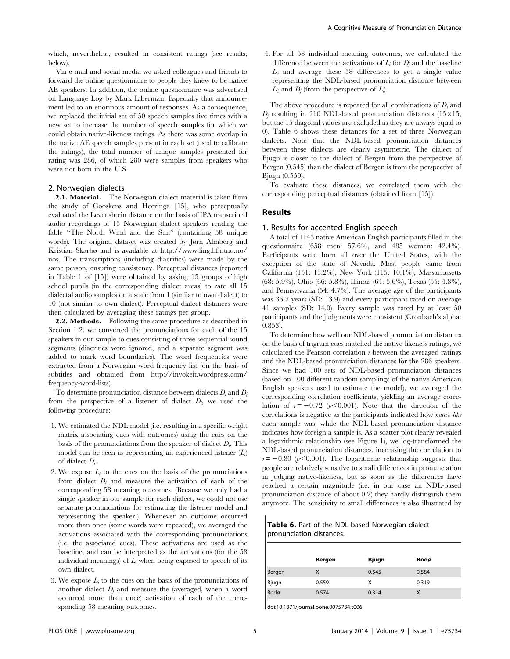which, nevertheless, resulted in consistent ratings (see results, below).

Via e-mail and social media we asked colleagues and friends to forward the online questionnaire to people they knew to be native AE speakers. In addition, the online questionnaire was advertised on Language Log by Mark Liberman. Especially that announcement led to an enormous amount of responses. As a consequence, we replaced the initial set of 50 speech samples five times with a new set to increase the number of speech samples for which we could obtain native-likeness ratings. As there was some overlap in the native AE speech samples present in each set (used to calibrate the ratings), the total number of unique samples presented for rating was 286, of which 280 were samples from speakers who were not born in the U.S.

## 2. Norwegian dialects

2.1. Material. The Norwegian dialect material is taken from the study of Gooskens and Heeringa [15], who perceptually evaluated the Levenshtein distance on the basis of IPA transcribed audio recordings of 15 Norwegian dialect speakers reading the fable ''The North Wind and the Sun'' (containing 58 unique words). The original dataset was created by Jørn Almberg and Kristian Skarbø and is available at http://www.ling.hf.ntnu.no/ nos. The transcriptions (including diacritics) were made by the same person, ensuring consistency. Perceptual distances (reported in Table 1 of [15]) were obtained by asking 15 groups of high school pupils (in the corresponding dialect areas) to rate all 15 dialectal audio samples on a scale from 1 (similar to own dialect) to 10 (not similar to own dialect). Perceptual dialect distances were then calculated by averaging these ratings per group.

2.2. Methods. Following the same procedure as described in Section 1.2, we converted the pronunciations for each of the 15 speakers in our sample to cues consisting of three sequential sound segments (diacritics were ignored, and a separate segment was added to mark word boundaries). The word frequencies were extracted from a Norwegian word frequency list (on the basis of subtitles and obtained from http://invokeit.wordpress.com/ frequency-word-lists).

To determine pronunciation distance between dialects  $D_i$  and  $D_j$ from the perspective of a listener of dialect  $D_i$ , we used the following procedure:

- 1. We estimated the NDL model (i.e. resulting in a specific weight matrix associating cues with outcomes) using the cues on the basis of the pronunciations from the speaker of dialect  $D_i$ . This model can be seen as representing an experienced listener  $(L_i)$ of dialect  $D_i$ .
- 2. We expose  $L_i$  to the cues on the basis of the pronunciations from dialect  $D_i$  and measure the activation of each of the corresponding 58 meaning outcomes. (Because we only had a single speaker in our sample for each dialect, we could not use separate pronunciations for estimating the listener model and representing the speaker.). Whenever an outcome occurred more than once (some words were repeated), we averaged the activations associated with the corresponding pronunciations (i.e. the associated cues). These activations are used as the baseline, and can be interpreted as the activations (for the 58 individual meanings) of  $L<sub>i</sub>$  when being exposed to speech of its own dialect.
- 3. We expose  $L_i$  to the cues on the basis of the pronunciations of another dialect  $D_i$  and measure the (averaged, when a word occurred more than once) activation of each of the corresponding 58 meaning outcomes.

4. For all 58 individual meaning outcomes, we calculated the difference between the activations of  $L_i$  for  $D_i$  and the baseline  $D_i$  and average these 58 differences to get a single value representing the NDL-based pronunciation distance between  $D_i$  and  $D_j$  (from the perspective of  $L_i$ ).

The above procedure is repeated for all combinations of  $D_i$  and  $D_i$  resulting in 210 NDL-based pronunciation distances (15×15, but the 15 diagonal values are excluded as they are always equal to 0). Table 6 shows these distances for a set of three Norwegian dialects. Note that the NDL-based pronunciation distances between these dialects are clearly asymmetric. The dialect of Bjugn is closer to the dialect of Bergen from the perspective of Bergen (0.545) than the dialect of Bergen is from the perspective of Bjugn (0.559).

To evaluate these distances, we correlated them with the corresponding perceptual distances (obtained from [15]).

#### Results

#### 1. Results for accented English speech

A total of 1143 native American English participants filled in the questionnaire (658 men: 57.6%, and 485 women: 42.4%). Participants were born all over the United States, with the exception of the state of Nevada. Most people came from California (151: 13.2%), New York (115: 10.1%), Massachusetts (68: 5.9%), Ohio (66: 5.8%), Illinois (64: 5.6%), Texas (55: 4.8%), and Pennsylvania (54: 4.7%). The average age of the participants was 36.2 years (SD: 13.9) and every participant rated on average 41 samples (SD: 14.0). Every sample was rated by at least 50 participants and the judgments were consistent (Cronbach's alpha: 0.853).

To determine how well our NDL-based pronunciation distances on the basis of trigram cues matched the native-likeness ratings, we calculated the Pearson correlation  $r$  between the averaged ratings and the NDL-based pronunciation distances for the 286 speakers. Since we had 100 sets of NDL-based pronunciation distances (based on 100 different random samplings of the native American English speakers used to estimate the model), we averaged the corresponding correlation coefficients, yielding an average correlation of  $r = -0.72$  ( $p < 0.001$ ). Note that the direction of the correlations is negative as the participants indicated how native-like each sample was, while the NDL-based pronunciation distance indicates how foreign a sample is. As a scatter plot clearly revealed a logarithmic relationship (see Figure 1), we log-transformed the NDL-based pronunciation distances, increasing the correlation to  $r = -0.80$  ( $p < 0.001$ ). The logarithmic relationship suggests that people are relatively sensitive to small differences in pronunciation in judging native-likeness, but as soon as the differences have reached a certain magnitude (i.e. in our case an NDL-based pronunciation distance of about 0.2) they hardly distinguish them anymore. The sensitivity to small differences is also illustrated by

## Table 6. Part of the NDL-based Norwegian dialect pronunciation distances.

|        | Bergen | Bjugn | Bodø  |
|--------|--------|-------|-------|
| Bergen | X      | 0.545 | 0.584 |
| Bjugn  | 0.559  | Х     | 0.319 |
| Bodø   | 0.574  | 0.314 | X     |

doi:10.1371/journal.pone.0075734.t006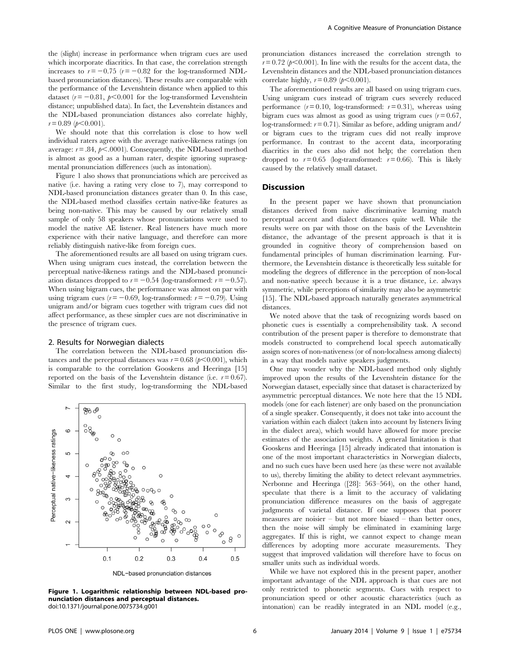the (slight) increase in performance when trigram cues are used which incorporate diacritics. In that case, the correlation strength increases to  $r = -0.75$  ( $r = -0.82$  for the log-transformed NDLbased pronunciation distances). These results are comparable with the performance of the Levenshtein distance when applied to this dataset ( $r = -0.81$ ,  $p < 0.001$  for the log-transformed Levenshtein distance; unpublished data). In fact, the Levenshtein distances and the NDL-based pronunciation distances also correlate highly,  $r = 0.89$  ( $p < 0.001$ ).

We should note that this correlation is close to how well individual raters agree with the average native-likeness ratings (on average:  $r = .84$ ,  $p < .0001$ ). Consequently, the NDL-based method is almost as good as a human rater, despite ignoring suprasegmental pronunciation differences (such as intonation).

Figure 1 also shows that pronunciations which are perceived as native (i.e. having a rating very close to 7), may correspond to NDL-based pronunciation distances greater than 0. In this case, the NDL-based method classifies certain native-like features as being non-native. This may be caused by our relatively small sample of only 58 speakers whose pronunciations were used to model the native AE listener. Real listeners have much more experience with their native language, and therefore can more reliably distinguish native-like from foreign cues.

The aforementioned results are all based on using trigram cues. When using unigram cues instead, the correlation between the perceptual native-likeness ratings and the NDL-based pronunciation distances dropped to  $r = -0.54$  (log-transformed:  $r = -0.57$ ). When using bigram cues, the performance was almost on par with using trigram cues ( $r = -0.69$ , log-transformed:  $r = -0.79$ ). Using unigram and/or bigram cues together with trigram cues did not affect performance, as these simpler cues are not discriminative in the presence of trigram cues.

#### 2. Results for Norwegian dialects

The correlation between the NDL-based pronunciation distances and the perceptual distances was  $r = 0.68$  ( $p < 0.001$ ), which is comparable to the correlation Gooskens and Heeringa [15] reported on the basis of the Levenshtein distance (i.e.  $r = 0.67$ ). Similar to the first study, log-transforming the NDL-based



NDL-based pronunciation distances

Figure 1. Logarithmic relationship between NDL-based pronunciation distances and perceptual distances. doi:10.1371/journal.pone.0075734.g001

pronunciation distances increased the correlation strength to  $r = 0.72$  ( $p < 0.001$ ). In line with the results for the accent data, the Levenshtein distances and the NDL-based pronunciation distances correlate highly,  $r = 0.89$  ( $p < 0.001$ ).

The aforementioned results are all based on using trigram cues. Using unigram cues instead of trigram cues severely reduced performance  $(r=0.10, \text{log-transformed: } r=0.31)$ , whereas using bigram cues was almost as good as using trigram cues  $(r=0.67)$ , log-transformed:  $r = 0.71$ ). Similar as before, adding unigram and/ or bigram cues to the trigram cues did not really improve performance. In contrast to the accent data, incorporating diacritics in the cues also did not help; the correlation then dropped to  $r = 0.65$  (log-transformed:  $r = 0.66$ ). This is likely caused by the relatively small dataset.

#### Discussion

In the present paper we have shown that pronunciation distances derived from naive discriminative learning match perceptual accent and dialect distances quite well. While the results were on par with those on the basis of the Levenshtein distance, the advantage of the present approach is that it is grounded in cognitive theory of comprehension based on fundamental principles of human discrimination learning. Furthermore, the Levenshtein distance is theoretically less suitable for modeling the degrees of difference in the perception of non-local and non-native speech because it is a true distance, i.e. always symmetric, while perceptions of similarity may also be asymmetric [15]. The NDL-based approach naturally generates asymmetrical distances.

We noted above that the task of recognizing words based on phonetic cues is essentially a comprehensibility task. A second contribution of the present paper is therefore to demonstrate that models constructed to comprehend local speech automatically assign scores of non-nativeness (or of non-localness among dialects) in a way that models native speakers judgments.

One may wonder why the NDL-based method only slightly improved upon the results of the Levenshtein distance for the Norwegian dataset, especially since that dataset is characterized by asymmetric perceptual distances. We note here that the 15 NDL models (one for each listener) are only based on the pronunciation of a single speaker. Consequently, it does not take into account the variation within each dialect (taken into account by listeners living in the dialect area), which would have allowed for more precise estimates of the association weights. A general limitation is that Gooskens and Heeringa [15] already indicated that intonation is one of the most important characteristics in Norwegian dialects, and no such cues have been used here (as these were not available to us), thereby limiting the ability to detect relevant asymmetries. Nerbonne and Heeringa ([28]: 563–564), on the other hand, speculate that there is a limit to the accuracy of validating pronunciation difference measures on the basis of aggregate judgments of varietal distance. If one supposes that poorer measures are noisier – but not more biased – than better ones, then the noise will simply be eliminated in examining large aggregates. If this is right, we cannot expect to change mean differences by adopting more accurate measurements. They suggest that improved validation will therefore have to focus on smaller units such as individual words.

While we have not explored this in the present paper, another important advantage of the NDL approach is that cues are not only restricted to phonetic segments. Cues with respect to pronunciation speed or other acoustic characteristics (such as intonation) can be readily integrated in an NDL model (e.g.,